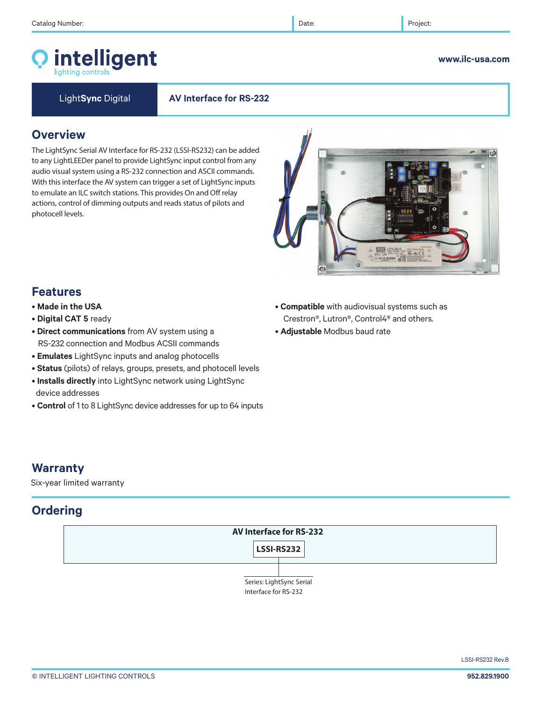# intelligent

#### **www.ilc-usa.com**

Light**Sync** Digital **AV Interface for RS-232**

### **Overview**

The LightSync Serial AV Interface for RS-232 (LSSI-RS232) can be added to any LightLEEDer panel to provide LightSync input control from any audio visual system using a RS-232 connection and ASCII commands. With this interface the AV system can trigger a set of LightSync inputs to emulate an ILC switch stations. This provides On and Off relay actions, control of dimming outputs and reads status of pilots and photocell levels.



### **Features**

- **Made in the USA**
- **Digital CAT 5** ready
- **Direct communications** from AV system using a RS-232 connection and Modbus ACSII commands
- **Emulates** LightSync inputs and analog photocells
- **Status** (pilots) of relays, groups, presets, and photocell levels
- **Installs directly** into LightSync network using LightSync device addresses
- **Control** of 1 to 8 LightSync device addresses for up to 64 inputs
- **Compatible** with audiovisual systems such as Crestron®, Lutron®, Control4® and others.
- **Adjustable** Modbus baud rate

### **Warranty**

Six-year limited warranty

### **Ordering**